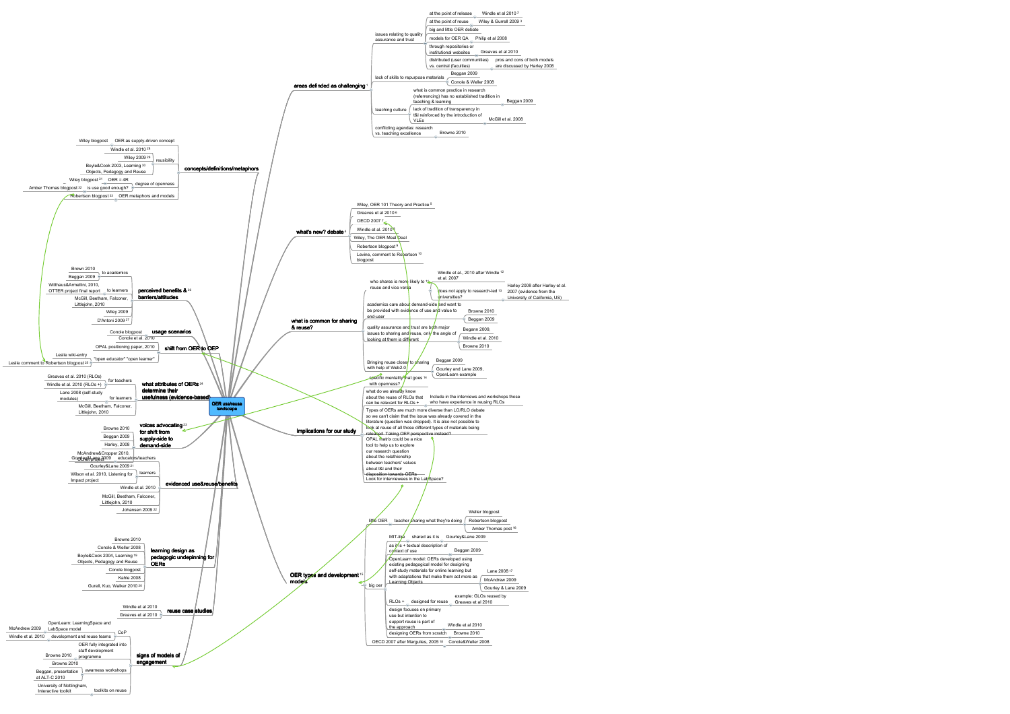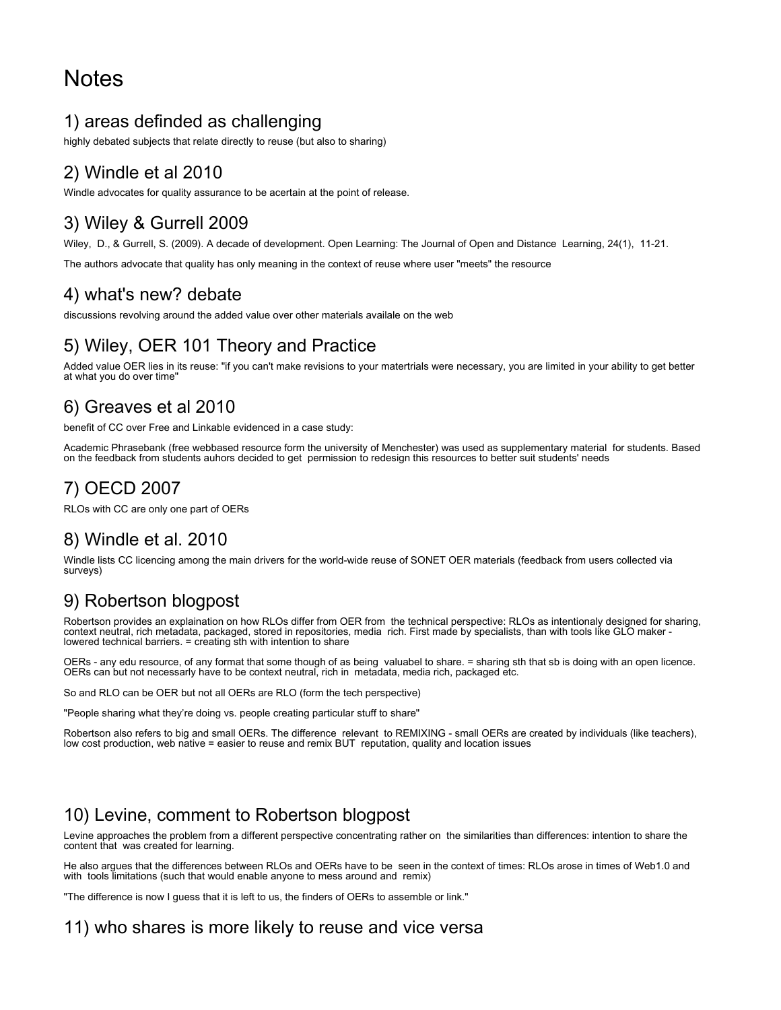# **Notes**

### 1) areas definded as challenging

highly debated subjects that relate directly to reuse (but also to sharing)

# 2) Windle et al 2010

Windle advocates for quality assurance to be acertain at the point of release.

### 3) Wiley & Gurrell 2009

Wiley, D., & Gurrell, S. (2009). A decade of development. Open Learning: The Journal of Open and Distance Learning, 24(1), 11-21.

The authors advocate that quality has only meaning in the context of reuse where user "meets" the resource

#### 4) what's new? debate

discussions revolving around the added value over other materials availale on the web

# 5) Wiley, OER 101 Theory and Practice

Added value OER lies in its reuse: "if you can't make revisions to your matertrials were necessary, you are limited in your ability to get better at what you do over time"

### 6) Greaves et al 2010

benefit of CC over Free and Linkable evidenced in a case study:

Academic Phrasebank (free webbased resource form the university of Menchester) was used as supplementary material for students. Based on the feedback from students auhors decided to get permission to redesign this resources to better suit students' needs

# 7) OECD 2007

RLOs with CC are only one part of OERs

### 8) Windle et al. 2010

Windle lists CC licencing among the main drivers for the world-wide reuse of SONET OER materials (feedback from users collected via surveys)

### 9) Robertson blogpost

Robertson provides an explaination on how RLOs differ from OER from the technical perspective: RLOs as intentionaly designed for sharing, context neutral, rich metadata, packaged, stored in repositories, media rich. First made by specialists, than with tools like GLO maker lowered technical barriers. = creating sth with intention to share

OERs - any edu resource, of any format that some though of as being valuabel to share. = sharing sth that sb is doing with an open licence. OERs can but not necessarly have to be context neutral, rich in metadata, media rich, packaged etc.

So and RLO can be OER but not all OERs are RLO (form the tech perspective)

"People sharing what they're doing vs. people creating particular stuff to share"

Robertson also refers to big and small OERs. The difference relevant to REMIXING - small OERs are created by individuals (like teachers), low cost production, web native = easier to reuse and remix BUT reputation, quality and location issues

### 10) Levine, comment to Robertson blogpost

Levine approaches the problem from a different perspective concentrating rather on the similarities than differences: intention to share the content that was created for learning.

He also argues that the differences between RLOs and OERs have to be seen in the context of times: RLOs arose in times of Web1.0 and with tools limitations (such that would enable anyone to mess around and remix)

"The difference is now I guess that it is left to us, the finders of OERs to assemble or link."

#### 11) who shares is more likely to reuse and vice versa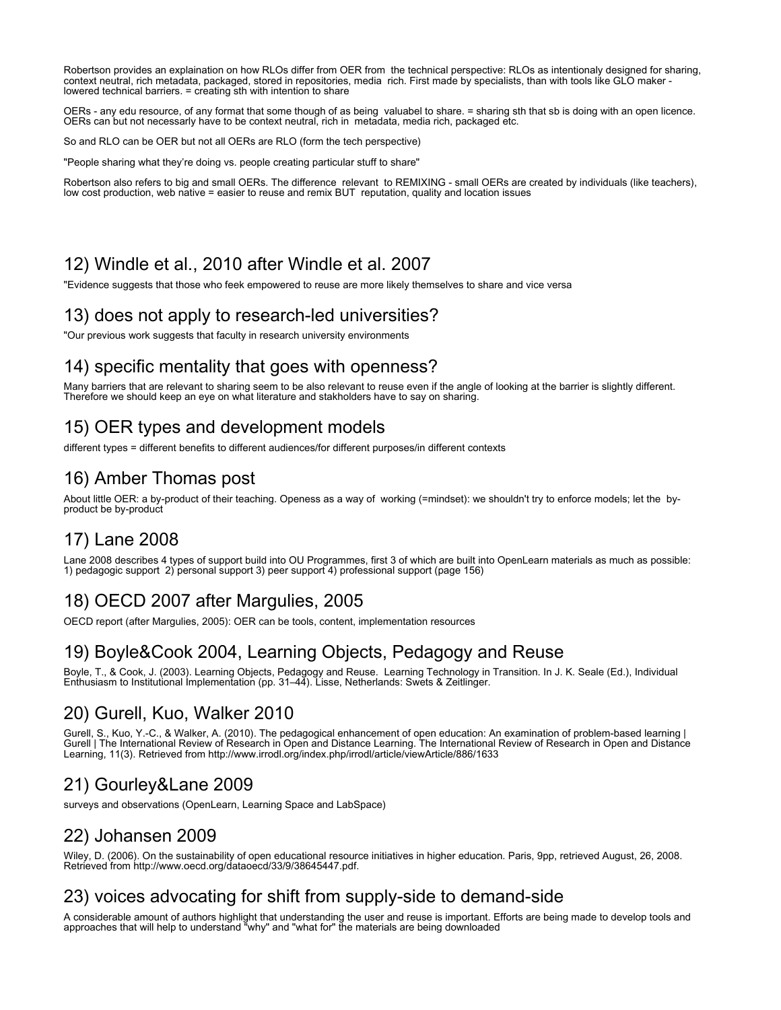Robertson provides an explaination on how RLOs differ from OER from the technical perspective: RLOs as intentionaly designed for sharing, context neutral, rich metadata, packaged, stored in repositories, media rich. First made by specialists, than with tools like GLO maker lowered technical barriers. = creating sth with intention to share

OERs - any edu resource, of any format that some though of as being valuabel to share. = sharing sth that sb is doing with an open licence. OERs can but not necessarly have to be context neutral, rich in metadata, media rich, packaged etc.

So and RLO can be OER but not all OERs are RLO (form the tech perspective)

"People sharing what they're doing vs. people creating particular stuff to share"

Robertson also refers to big and small OERs. The difference relevant to REMIXING - small OERs are created by individuals (like teachers), low cost production, web native = easier to reuse and remix BUT reputation, quality and location issues

### 12) Windle et al., 2010 after Windle et al. 2007

"Evidence suggests that those who feek empowered to reuse are more likely themselves to share and vice versa

#### 13) does not apply to research-led universities?

"Our previous work suggests that faculty in research university environments

#### 14) specific mentality that goes with openness?

Many barriers that are relevant to sharing seem to be also relevant to reuse even if the angle of looking at the barrier is slightly different. Therefore we should keep an eye on what literature and stakholders have to say on sharing.

### 15) OER types and development models

different types = different benefits to different audiences/for different purposes/in different contexts

#### 16) Amber Thomas post

About little OER: a by-product of their teaching. Openess as a way of working (=mindset): we shouldn't try to enforce models; let the byproduct be by-product

#### 17) Lane 2008

Lane 2008 describes 4 types of support build into OU Programmes, first 3 of which are built into OpenLearn materials as much as possible: 1) pedagogic support 2) personal support 3) peer support 4) professional support (page 156)

### 18) OECD 2007 after Margulies, 2005

OECD report (after Margulies, 2005): OER can be tools, content, implementation resources

#### 19) Boyle&Cook 2004, Learning Objects, Pedagogy and Reuse

Boyle, T., & Cook, J. (2003). Learning Objects, Pedagogy and Reuse. Learning Technology in Transition. In J. K. Seale (Ed.), Individual Enthusiasm to Institutional Implementation (pp. 31–44). Lisse, Netherlands: Swets & Zeitlinger.

#### 20) Gurell, Kuo, Walker 2010

Gurell, S., Kuo, Y.-C., & Walker, A. (2010). The pedagogical enhancement of open education: An examination of problem-based learning | Gurell | The International Review of Research in Open and Distance Learning. The International Review of Research in Open and Distance Learning, 11(3). Retrieved from http://www.irrodl.org/index.php/irrodl/article/viewArticle/886/1633

# 21) Gourley&Lane 2009

surveys and observations (OpenLearn, Learning Space and LabSpace)

### 22) Johansen 2009

Wiley, D. (2006). On the sustainability of open educational resource initiatives in higher education. Paris, 9pp, retrieved August, 26, 2008. Retrieved from http://www.oecd.org/dataoecd/33/9/38645447.pdf.

# 23) voices advocating for shift from supply-side to demand-side

A considerable amount of authors highlight that understanding the user and reuse is important. Efforts are being made to develop tools and approaches that will help to understand "why" and "what for" the materials are being downloaded